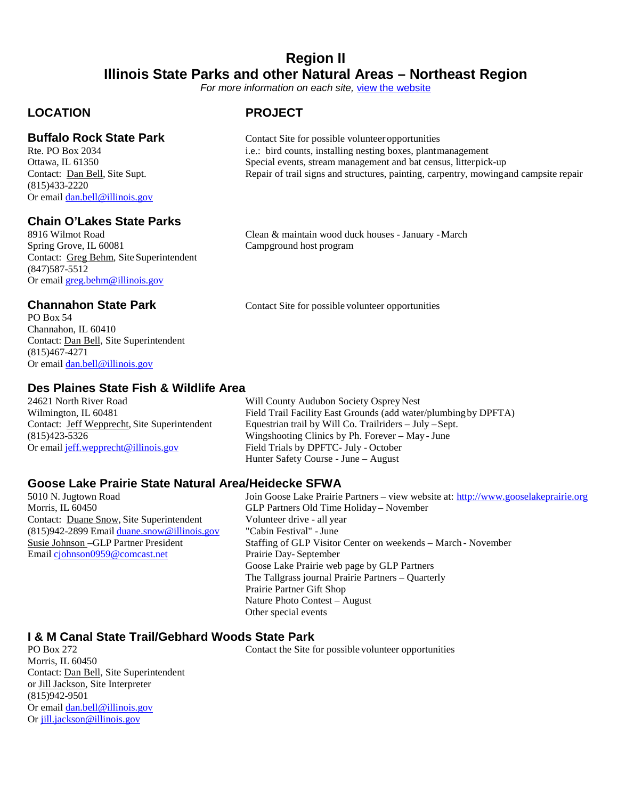### **Region II Illinois State Parks and other Natural Areas – Northeast Region**

*For more information on each site,* [view the website](https://www.dnr..illinois.gov/Parks/Pages/default.aspx)

### **LOCATION PROJECT**

(815)433-2220 Or email [dan.bell@illinois.gov](mailto:dan.bell@illinois.gov)

### **Chain O'Lakes State Parks**

Contact: Greg Behm, Site Superintendent (847)587-5512 Or email [greg.behm@illinois.gov](mailto:greg.behm@illinois.gov)

PO Box 54 Channahon, IL 60410 Contact: Dan Bell, Site Superintendent (815)467-4271 Or email [dan.bell@illinois.gov](mailto:dan.bell@illinois.gov)

## **Des Plaines State Fish & Wildlife Area**

Or email [jeff.wepprecht@illinois.gov](mailto:jeff.wepprecht@illinois.gov) Field Trials by DPFTC- July - October

**Buffalo Rock State Park** Contact Site for possible volunteer opportunities Rte. PO Box 2034 i.e.: bird counts, installing nesting boxes. plantn i.e.: bird counts, installing nesting boxes, plantmanagement Ottawa, IL 61350 Special events, stream management and bat census, litterpick-up Contact: Dan Bell, Site Supt. Repair of trail signs and structures, painting, carpentry, mowingand campsite repair

8916 Wilmot Road Clean & maintain wood duck houses - January - March Spring Grove, IL 60081 Campground host program

**Channahon State Park** Contact Site for possible volunteer opportunities

Will County Audubon Society Osprey Nest Wilmington, IL 60481 Field Trail Facility East Grounds (add water/plumbing by DPFTA)<br>Contact: Jeff Wepprecht, Site Superintendent Equestrian trail by Will Co. Trailriders – July – Sept. Equestrian trail by Will Co. Trailriders – July –Sept. (815)423-5326 Wingshooting Clinics by Ph. Forever – May - June Hunter Safety Course - June – August

## **Goose Lake Prairie State Natural Area/Heidecke SFWA**

Morris, IL 60450 GLP Partners Old Time Holiday – November Contact: Duane Snow, Site Superintendent Volunteer drive - all year (815)942-2899 Email [duane.snow@illinois.gov](mailto:duane.snow@illinois.gov) "Cabin Festival" -June Email [cjohnson0959@comcast.net](mailto:cjohnson0959@comcast.net) Prairie Day- September

Join Goose Lake Prairie Partners – view website at: [http://www.gooselakeprairie.org](http://www.gooselakeprairie.org/) Susie Johnson –GLP Partner President Staffing of GLP Visitor Center on weekends – March - November Goose Lake Prairie web page by GLP Partners The Tallgrass journal Prairie Partners – Quarterly Prairie Partner Gift Shop Nature Photo Contest – August Other special events

# **I & M Canal State Trail/Gebhard Woods State Park**

Morris, IL 60450 Contact: Dan Bell, Site Superintendent or Jill Jackson, Site Interpreter (815)942-9501 Or email [dan.bell@illinois.gov](mailto:dan.bell@illinois.gov) Or [jill.jackson@illinois.gov](mailto:jill.jackson@illinois.gov)

Contact the Site for possible volunteer opportunities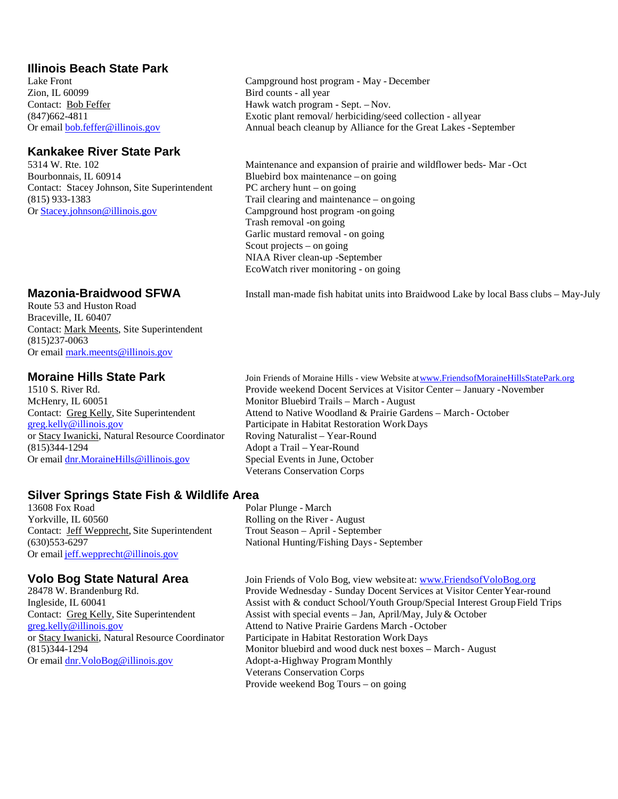### **Illinois Beach State Park**

Zion, IL 60099 Bird counts - all year

### **Kankakee River State Park**

Bourbonnais, IL 60914 Bluebird box maintenance – on going Contact: Stacey Johnson, Site Superintendent PC archery hunt – on going (815) 933-1383 Trail clearing and maintenance – on going<br>Or Stacey, johnson @illinois.gov Campground host program -on going

Route 53 and Huston Road Braceville, IL 60407 Contact: Mark Meents, Site Superintendent (815)237-0063 Or email [mark.meents@illinois.gov](mailto:mark.meents@illinois.gov)

McHenry, IL 60051 Monitor Bluebird Trails – March - August or Stacy Iwanicki, Natural Resource Coordinator (815)344-1294 Adopt a Trail – Year-Round Or email [dnr.MoraineHills@illinois.gov](mailto:dnr.MoraineHills@illinois.gov) Special Events in June, October

## **Silver Springs State Fish & Wildlife Area**

Yorkville, IL 60560 Rolling on the River - August Contact: Jeff Wepprecht, Site Superintendent Trout Season – April - September (630)553-6297 National Hunting/Fishing Days- September Or email [jeff.wepprecht@illinois.gov](mailto:jeff.wepprecht@illinois.gov)

or Stacy Iwanicki, Natural Resource Coordinator Participate in Habitat Restoration Work Days<br>
Monitor bluebird and wood duck nest boxes – Or email dnr. VoloBog@illinois.gov Adopt-a-Highway Program Monthly

Campground host program - May - December Contact: <u>Bob Feffer</u> Hawk watch program - Sept. – Nov.<br>
(847)662-4811 Exotic plant removal/ herbiciding/se Exotic plant removal/ herbiciding/seed collection - allyear Or email [bob.feffer@illinois.gov](mailto:bob.feffer@illinois.gov) Annual beach cleanup by Alliance for the Great Lakes -September

> Maintenance and expansion of prairie and wildflower beds- Mar -Oct Campground host program -on going Trash removal -on going Garlic mustard removal - on going Scout projects – on going NIAA River clean-up -September EcoWatch river monitoring - on going

**Mazonia-Braidwood SFWA** Install man-made fish habitat units into Braidwood Lake by local Bass clubs – May-July

**Moraine Hills State Park** Join Friends of Moraine Hills - view Website at www.Friendsof Moraine Hills StatePark.org 1510 S. River Rd. Provide weekend Docent Services at Visitor Center – January -November Contact: Greg Kelly, Site Superintendent Attend to Native Woodland & Prairie Gardens – March - October Preg, kelly@illinois.gov Participate in Habitat Restoration Work Days Participate in Habitat Restoration Work Days<br>Roving Naturalist – Year-Round Veterans Conservation Corps

Polar Plunge - March

**Volo Bog State Natural Area** Join Friends of Volo Bog, view websiteat: **[www.FriendsofVoloBog.org](http://www.friendsofvolobog.org/)**<br>28478 W. Brandenburg Rd. **Provide Wednesday - Sunday Docent Services at Visitor Center Year-rou** Provide Wednesday - Sunday Docent Services at Visitor Center Year-round Ingleside, IL 60041 Assist with & conduct School/Youth Group/Special Interest Group Field Trips<br>Contact: Greg Kelly, Site Superintendent Assist with special events – Jan, April/May, July & October Contact: Greg Kelly, Site Superintendent Assist with special events – Jan, April/May, July & October greg.kelly@illinois.gov Attend to Native Prairie Gardens March - October Attend to Native Prairie Gardens March - October Monitor bluebird and wood duck nest boxes – March - August Veterans Conservation Corps Provide weekend Bog Tours – on going